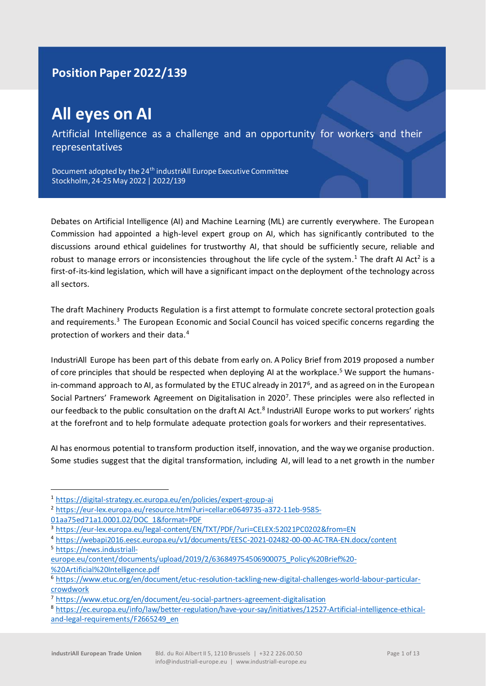# **Position Paper 2022/139**

# **All eyes on AI**

Artificial Intelligence as a challenge and an opportunity for workers and their representatives

Document adopted by the 24<sup>th</sup> industriAll Europe Executive Committee Stockholm, 24-25 May 2022 | 2022/139

Debates on Artificial Intelligence (AI) and Machine Learning (ML) are currently everywhere. The European Commission had appointed a high-level expert group on AI, which has significantly contributed to the discussions around ethical guidelines for trustworthy AI, that should be sufficiently secure, reliable and robust to manage errors or inconsistencies throughout the life cycle of the system.<sup>1</sup> The draft AI Act<sup>2</sup> is a first-of-its-kind legislation, which will have a significant impact on the deployment of the technology across all sectors.

The draft Machinery Products Regulation is a first attempt to formulate concrete sectoral protection goals and requirements.<sup>3</sup> The European Economic and Social Council has voiced specific concerns regarding the protection of workers and their data.<sup>4</sup>

IndustriAll Europe has been part of this debate from early on. A Policy Brief from 2019 proposed a number of core principles that should be respected when deploying AI at the workplace.<sup>5</sup> We support the humansin-command approach to AI, as formulated by the ETUC already in 2017<sup>6</sup>, and as agreed on in the European Social Partners' Framework Agreement on Digitalisation in 2020<sup>7</sup>. These principles were also reflected in our feedback to the public consultation on the draft AI Act.<sup>8</sup> IndustriAll Europe works to put workers' rights at the forefront and to help formulate adequate protection goals for workers and their representatives.

AI has enormous potential to transform production itself, innovation, and the way we organise production. Some studies suggest that the digital transformation, including AI, will lead to a net growth in the number

<sup>1</sup> <https://digital-strategy.ec.europa.eu/en/policies/expert-group-ai>

<sup>2</sup> [https://eur-lex.europa.eu/resource.html?uri=cellar:e0649735-a372-11eb-9585-](https://eur-lex.europa.eu/resource.html?uri=cellar:e0649735-a372-11eb-9585-01aa75ed71a1.0001.02/DOC_1&format=PDF) [01aa75ed71a1.0001.02/DOC\\_1&format=PDF](https://eur-lex.europa.eu/resource.html?uri=cellar:e0649735-a372-11eb-9585-01aa75ed71a1.0001.02/DOC_1&format=PDF)

<sup>3</sup> <https://eur-lex.europa.eu/legal-content/EN/TXT/PDF/?uri=CELEX:52021PC0202&from=EN>

<sup>4</sup> <https://webapi2016.eesc.europa.eu/v1/documents/EESC-2021-02482-00-00-AC-TRA-EN.docx/content> <sup>5</sup> [https://news.industriall-](https://news.industriall-europe.eu/content/documents/upload/2019/2/636849754506900075_Policy%20Brief%20-%20Artificial%20Intelligence.pdf)

[europe.eu/content/documents/upload/2019/2/636849754506900075\\_Policy%20Brief%20-](https://news.industriall-europe.eu/content/documents/upload/2019/2/636849754506900075_Policy%20Brief%20-%20Artificial%20Intelligence.pdf) [%20Artificial%20Intelligence.pdf](https://news.industriall-europe.eu/content/documents/upload/2019/2/636849754506900075_Policy%20Brief%20-%20Artificial%20Intelligence.pdf)

<sup>6</sup> [https://www.etuc.org/en/document/etuc-resolution-tackling-new-digital-challenges-world-labour-particular](https://www.etuc.org/en/document/etuc-resolution-tackling-new-digital-challenges-world-labour-particular-crowdwork)[crowdwork](https://www.etuc.org/en/document/etuc-resolution-tackling-new-digital-challenges-world-labour-particular-crowdwork)

<sup>7</sup> <https://www.etuc.org/en/document/eu-social-partners-agreement-digitalisation>

<sup>8</sup> [https://ec.europa.eu/info/law/better-regulation/have-your-say/initiatives/12527-Artificial-intelligence-ethical](https://eur01.safelinks.protection.outlook.com/?url=https%3A%2F%2Fec.europa.eu%2Finfo%2Flaw%2Fbetter-regulation%2Fhave-your-say%2Finitiatives%2F12527-Artificial-intelligence-ethical-and-legal-requirements%2FF2665249_en&data=04%7C01%7Ccelia.mcclements%40industriall-europe.eu%7C8d8ca9fac00e405efbeb08d9fb6f397f%7Caba971db37f44611ac7cfb9911ba2369%7C1%7C0%7C637817277394677118%7CUnknown%7CTWFpbGZsb3d8eyJWIjoiMC4wLjAwMDAiLCJQIjoiV2luMzIiLCJBTiI6Ik1haWwiLCJXVCI6Mn0%3D%7C3000&sdata=vNmYrgPv%2Bi2XiKTBpSKu3s7Fia6Si2bK%2BwHwfxSNwuI%3D&reserved=0)[and-legal-requirements/F2665249\\_en](https://eur01.safelinks.protection.outlook.com/?url=https%3A%2F%2Fec.europa.eu%2Finfo%2Flaw%2Fbetter-regulation%2Fhave-your-say%2Finitiatives%2F12527-Artificial-intelligence-ethical-and-legal-requirements%2FF2665249_en&data=04%7C01%7Ccelia.mcclements%40industriall-europe.eu%7C8d8ca9fac00e405efbeb08d9fb6f397f%7Caba971db37f44611ac7cfb9911ba2369%7C1%7C0%7C637817277394677118%7CUnknown%7CTWFpbGZsb3d8eyJWIjoiMC4wLjAwMDAiLCJQIjoiV2luMzIiLCJBTiI6Ik1haWwiLCJXVCI6Mn0%3D%7C3000&sdata=vNmYrgPv%2Bi2XiKTBpSKu3s7Fia6Si2bK%2BwHwfxSNwuI%3D&reserved=0)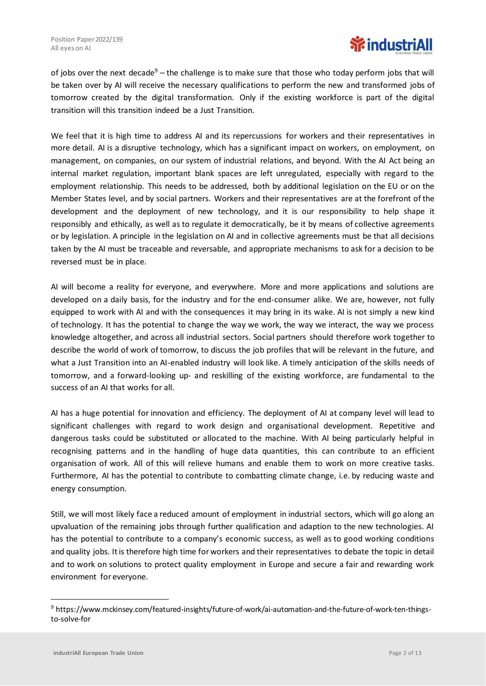

of jobs over the next decade<sup>9</sup> – the challenge is to make sure that those who today perform jobs that will be taken over by AI will receive the necessary qualifications to perform the new and transformed jobs of tomorrow created by the digital transformation. Only if the existing workforce is part of the digital transition will this transition indeed be a Just Transition.

We feel that it is high time to address AI and its repercussions for workers and their representatives in more detail. AI is a disruptive technology, which has a significant impact on workers, on employment, on management, on companies, on our system of industrial relations, and beyond. With the AI Act being an internal market regulation, important blank spaces are left unregulated, especially with regard to the employment relationship. This needs to be addressed, both by additional legislation on the EU or on the Member States level, and by social partners. Workers and their representatives are at the forefront of the development and the deployment of new technology, and it is our responsibility to help shape it responsibly and ethically, as well as to regulate it democratically, be it by means of collective agreements or by legislation. A principle in the legislation on AI and in collective agreements must be that all decisions taken by the AI must be traceable and reversable, and appropriate mechanisms to ask for a decision to be reversed must be in place.

AI will become a reality for everyone, and everywhere. More and more applications and solutions are developed on a daily basis, for the industry and for the end-consumer alike. We are, however, not fully equipped to work with AI and with the consequences it may bring in its wake. AI is not simply a new kind of technology. It has the potential to change the way we work, the way we interact, the way we process knowledge altogether, and across all industrial sectors. Social partners should therefore work together to describe the world of work of tomorrow, to discuss the job profiles that will be relevant in the future, and what a Just Transition into an AI-enabled industry will look like. A timely anticipation of the skills needs of tomorrow, and a forward-looking up- and reskilling of the existing workforce, are fundamental to the success of an AI that works for all.

AI has a huge potential for innovation and efficiency. The deployment of AI at company level will lead to significant challenges with regard to work design and organisational development. Repetitive and dangerous tasks could be substituted or allocated to the machine. With AI being particularly helpful in recognising patterns and in the handling of huge data quantities, this can contribute to an efficient organisation of work. All of this will relieve humans and enable them to work on more creative tasks. Furthermore, AI has the potential to contribute to combatting climate change, i.e. by reducing waste and energy consumption.

Still, we will most likely face a reduced amount of employment in industrial sectors, which will go along an upvaluation of the remaining jobs through further qualification and adaption to the new technologies. AI has the potential to contribute to a company's economic success, as well as to good working conditions and quality jobs. It is therefore high time for workers and their representatives to debate the topic in detail and to work on solutions to protect quality employment in Europe and secure a fair and rewarding work environment for everyone.

<sup>9</sup> https://www.mckinsey.com/featured-insights/future-of-work/ai-automation-and-the-future-of-work-ten-thingsto-solve-for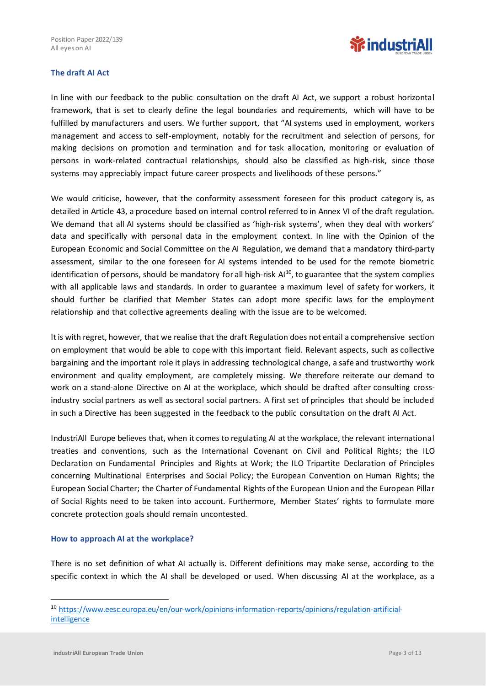

# **The draft AI Act**

In line with our feedback to the public consultation on the draft AI Act, we support a robust horizontal framework, that is set to clearly define the legal boundaries and requirements, which will have to be fulfilled by manufacturers and users. We further support, that "AI systems used in employment, workers management and access to self-employment, notably for the recruitment and selection of persons, for making decisions on promotion and termination and for task allocation, monitoring or evaluation of persons in work-related contractual relationships, should also be classified as high-risk, since those systems may appreciably impact future career prospects and livelihoods of these persons."

We would criticise, however, that the conformity assessment foreseen for this product category is, as detailed in Article 43, a procedure based on internal control referred to in Annex VI of the draft regulation. We demand that all AI systems should be classified as 'high-risk systems', when they deal with workers' data and specifically with personal data in the employment context. In line with the Opinion of the European Economic and Social Committee on the AI Regulation, we demand that a mandatory third-party assessment, similar to the one foreseen for AI systems intended to be used for the remote biometric identification of persons, should be mandatory for all high-risk Al<sup>10</sup>, to guarantee that the system complies with all applicable laws and standards. In order to guarantee a maximum level of safety for workers, it should further be clarified that Member States can adopt more specific laws for the employment relationship and that collective agreements dealing with the issue are to be welcomed.

It is with regret, however, that we realise that the draft Regulation does not entail a comprehensive section on employment that would be able to cope with this important field. Relevant aspects, such as collective bargaining and the important role it plays in addressing technological change, a safe and trustworthy work environment and quality employment, are completely missing. We therefore reiterate our demand to work on a stand-alone Directive on AI at the workplace, which should be drafted after consulting crossindustry social partners as well as sectoral social partners. A first set of principles that should be included in such a Directive has been suggested in the feedback to the public consultation on the draft AI Act.

IndustriAll Europe believes that, when it comes to regulating AI at the workplace, the relevant international treaties and conventions, such as the International Covenant on Civil and Political Rights; the ILO Declaration on Fundamental Principles and Rights at Work; the ILO Tripartite Declaration of Principles concerning Multinational Enterprises and Social Policy; the European Convention on Human Rights; the European Social Charter; the Charter of Fundamental Rights of the European Union and the European Pillar of Social Rights need to be taken into account. Furthermore, Member States' rights to formulate more concrete protection goals should remain uncontested.

#### **How to approach AI at the workplace?**

There is no set definition of what AI actually is. Different definitions may make sense, according to the specific context in which the AI shall be developed or used. When discussing AI at the workplace, as a

<sup>10</sup> [https://www.eesc.europa.eu/en/our-work/opinions-information-reports/opinions/regulation-artificial](https://www.eesc.europa.eu/en/our-work/opinions-information-reports/opinions/regulation-artificial-intelligence)**[intelligence](https://www.eesc.europa.eu/en/our-work/opinions-information-reports/opinions/regulation-artificial-intelligence)**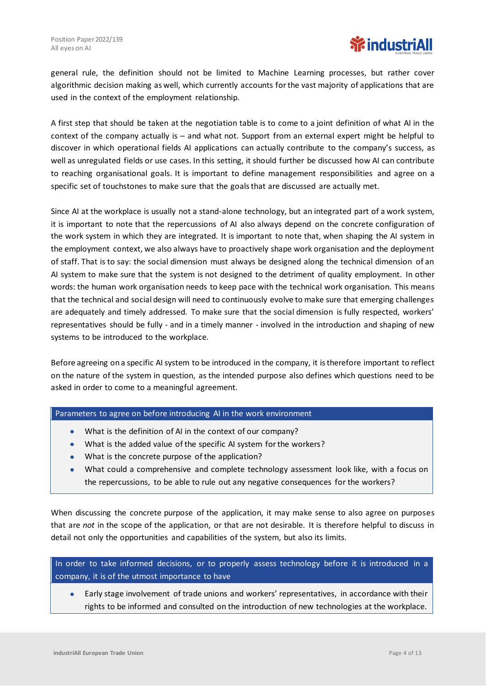

general rule, the definition should not be limited to Machine Learning processes, but rather cover algorithmic decision making as well, which currently accounts for the vast majority of applications that are used in the context of the employment relationship.

A first step that should be taken at the negotiation table is to come to a joint definition of what AI in the context of the company actually is – and what not. Support from an external expert might be helpful to discover in which operational fields AI applications can actually contribute to the company's success, as well as unregulated fields or use cases. In this setting, it should further be discussed how AI can contribute to reaching organisational goals. It is important to define management responsibilities and agree on a specific set of touchstones to make sure that the goals that are discussed are actually met.

Since AI at the workplace is usually not a stand-alone technology, but an integrated part of a work system, it is important to note that the repercussions of AI also always depend on the concrete configuration of the work system in which they are integrated. It is important to note that, when shaping the AI system in the employment context, we also always have to proactively shape work organisation and the deployment of staff. That is to say: the social dimension must always be designed along the technical dimension of an AI system to make sure that the system is not designed to the detriment of quality employment. In other words: the human work organisation needs to keep pace with the technical work organisation. This means that the technical and social design will need to continuously evolve to make sure that emerging challenges are adequately and timely addressed. To make sure that the social dimension is fully respected, workers' representatives should be fully - and in a timely manner - involved in the introduction and shaping of new systems to be introduced to the workplace.

Before agreeing on a specific AI system to be introduced in the company, it is therefore important to reflect on the nature of the system in question, as the intended purpose also defines which questions need to be asked in order to come to a meaningful agreement.

#### Parameters to agree on before introducing AI in the work environment

- What is the definition of AI in the context of our company?
- What is the added value of the specific AI system for the workers?
- What is the concrete purpose of the application?
- What could a comprehensive and complete technology assessment look like, with a focus on the repercussions, to be able to rule out any negative consequences for the workers?

When discussing the concrete purpose of the application, it may make sense to also agree on purposes that are *not* in the scope of the application, or that are not desirable. It is therefore helpful to discuss in detail not only the opportunities and capabilities of the system, but also its limits.

In order to take informed decisions, or to properly assess technology before it is introduced in a company, it is of the utmost importance to have

• Early stage involvement of trade unions and workers' representatives, in accordance with their rights to be informed and consulted on the introduction of new technologies at the workplace.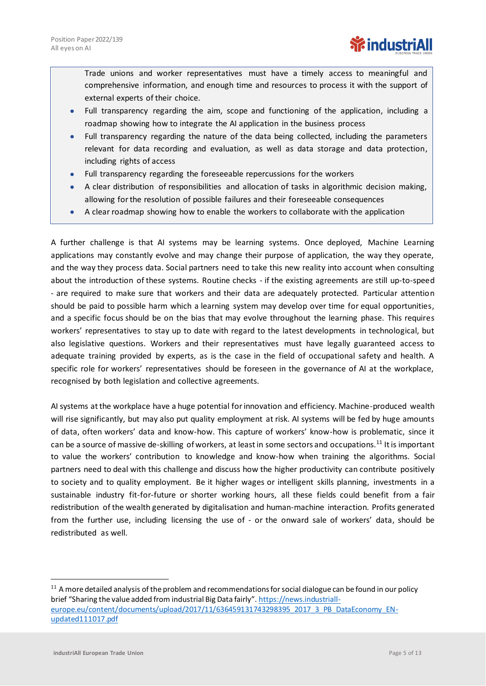Trade unions and worker representatives must have a timely access to meaningful and comprehensive information, and enough time and resources to process it with the support of external experts of their choice.

- Full transparency regarding the aim, scope and functioning of the application, including a roadmap showing how to integrate the AI application in the business process
- Full transparency regarding the nature of the data being collected, including the parameters relevant for data recording and evaluation, as well as data storage and data protection, including rights of access
- Full transparency regarding the foreseeable repercussions for the workers
- A clear distribution of responsibilities and allocation of tasks in algorithmic decision making, allowing for the resolution of possible failures and their foreseeable consequences
- A clear roadmap showing how to enable the workers to collaborate with the application

A further challenge is that AI systems may be learning systems. Once deployed, Machine Learning applications may constantly evolve and may change their purpose of application, the way they operate, and the way they process data. Social partners need to take this new reality into account when consulting about the introduction of these systems. Routine checks - if the existing agreements are still up-to-speed - are required to make sure that workers and their data are adequately protected. Particular attention should be paid to possible harm which a learning system may develop over time for equal opportunities, and a specific focus should be on the bias that may evolve throughout the learning phase. This requires workers' representatives to stay up to date with regard to the latest developments in technological, but also legislative questions. Workers and their representatives must have legally guaranteed access to adequate training provided by experts, as is the case in the field of occupational safety and health. A specific role for workers' representatives should be foreseen in the governance of AI at the workplace, recognised by both legislation and collective agreements.

AI systems at the workplace have a huge potential for innovation and efficiency. Machine-produced wealth will rise significantly, but may also put quality employment at risk. AI systems will be fed by huge amounts of data, often workers' data and know-how. This capture of workers' know-how is problematic, since it can be a source of massive de-skilling of workers, at least in some sectors and occupations.<sup>11</sup> It is important to value the workers' contribution to knowledge and know-how when training the algorithms. Social partners need to deal with this challenge and discuss how the higher productivity can contribute positively to society and to quality employment. Be it higher wages or intelligent skills planning, investments in a sustainable industry fit-for-future or shorter working hours, all these fields could benefit from a fair redistribution of the wealth generated by digitalisation and human-machine interaction. Profits generated from the further use, including licensing the use of - or the onward sale of workers' data, should be redistributed as well.

<sup>&</sup>lt;sup>11</sup> A more detailed analysis of the problem and recommendations for social dialogue can be found in our policy brief "Sharing the value added from industrial Big Data fairly". [https://news.industriall](https://news.industriall-europe.eu/content/documents/upload/2017/11/636459131743298395_2017_3_PB_DataEconomy_EN-updated111017.pdf)[europe.eu/content/documents/upload/2017/11/636459131743298395\\_2017\\_3\\_PB\\_DataEconomy\\_EN](https://news.industriall-europe.eu/content/documents/upload/2017/11/636459131743298395_2017_3_PB_DataEconomy_EN-updated111017.pdf)[updated111017.pdf](https://news.industriall-europe.eu/content/documents/upload/2017/11/636459131743298395_2017_3_PB_DataEconomy_EN-updated111017.pdf)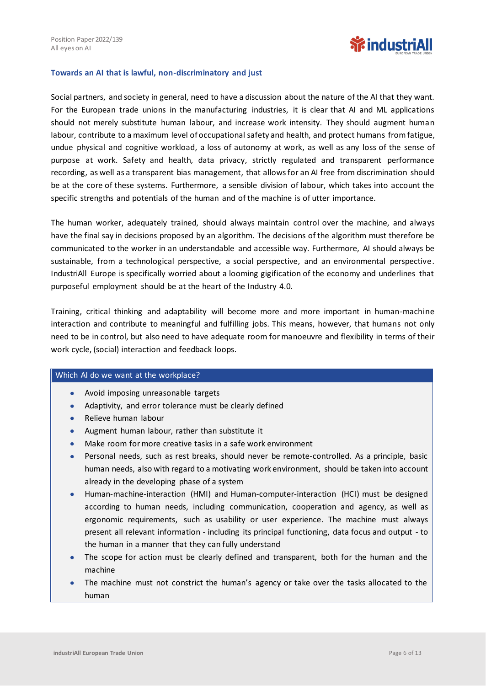

#### **Towards an AI that is lawful, non-discriminatory and just**

Social partners, and society in general, need to have a discussion about the nature of the AI that they want. For the European trade unions in the manufacturing industries, it is clear that AI and ML applications should not merely substitute human labour, and increase work intensity. They should augment human labour, contribute to a maximum level of occupational safety and health, and protect humans from fatigue, undue physical and cognitive workload, a loss of autonomy at work, as well as any loss of the sense of purpose at work. Safety and health, data privacy, strictly regulated and transparent performance recording, as well as a transparent bias management, that allows for an AI free from discrimination should be at the core of these systems. Furthermore, a sensible division of labour, which takes into account the specific strengths and potentials of the human and of the machine is of utter importance.

The human worker, adequately trained, should always maintain control over the machine, and always have the final say in decisions proposed by an algorithm. The decisions of the algorithm must therefore be communicated to the worker in an understandable and accessible way. Furthermore, AI should always be sustainable, from a technological perspective, a social perspective, and an environmental perspective. IndustriAll Europe is specifically worried about a looming gigification of the economy and underlines that purposeful employment should be at the heart of the Industry 4.0.

Training, critical thinking and adaptability will become more and more important in human-machine interaction and contribute to meaningful and fulfilling jobs. This means, however, that humans not only need to be in control, but also need to have adequate room for manoeuvre and flexibility in terms of their work cycle, (social) interaction and feedback loops.

#### Which AI do we want at the workplace?

- Avoid imposing unreasonable targets
- Adaptivity, and error tolerance must be clearly defined
- Relieve human labour
- Augment human labour, rather than substitute it
- Make room for more creative tasks in a safe work environment
- Personal needs, such as rest breaks, should never be remote-controlled. As a principle, basic human needs, also with regard to a motivating work environment, should be taken into account already in the developing phase of a system
- Human-machine-interaction (HMI) and Human-computer-interaction (HCI) must be designed according to human needs, including communication, cooperation and agency, as well as ergonomic requirements, such as usability or user experience. The machine must always present all relevant information - including its principal functioning, data focus and output - to the human in a manner that they can fully understand
- The scope for action must be clearly defined and transparent, both for the human and the machine
- The machine must not constrict the human's agency or take over the tasks allocated to the human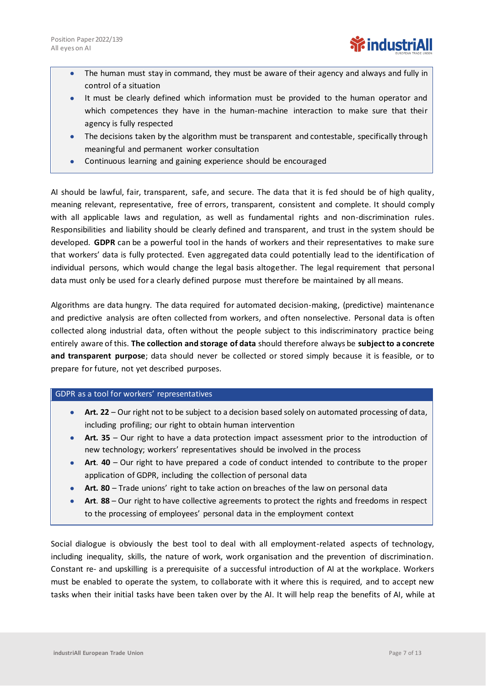- The human must stay in command, they must be aware of their agency and always and fully in control of a situation
- It must be clearly defined which information must be provided to the human operator and which competences they have in the human-machine interaction to make sure that their agency is fully respected
- The decisions taken by the algorithm must be transparent and contestable, specifically through meaningful and permanent worker consultation
- Continuous learning and gaining experience should be encouraged

AI should be lawful, fair, transparent, safe, and secure. The data that it is fed should be of high quality, meaning relevant, representative, free of errors, transparent, consistent and complete. It should comply with all applicable laws and regulation, as well as fundamental rights and non-discrimination rules. Responsibilities and liability should be clearly defined and transparent, and trust in the system should be developed. **GDPR** can be a powerful tool in the hands of workers and their representatives to make sure that workers' data is fully protected. Even aggregated data could potentially lead to the identification of individual persons, which would change the legal basis altogether. The legal requirement that personal data must only be used for a clearly defined purpose must therefore be maintained by all means.

Algorithms are data hungry. The data required for automated decision-making, (predictive) maintenance and predictive analysis are often collected from workers, and often nonselective. Personal data is often collected along industrial data, often without the people subject to this indiscriminatory practice being entirely aware of this. **The collection and storage of data** should therefore always be **subject to a concrete and transparent purpose**; data should never be collected or stored simply because it is feasible, or to prepare for future, not yet described purposes.

# GDPR as a tool for workers' representatives

- **Art. 22** Our right not to be subject to a decision based solely on automated processing of data, including profiling; our right to obtain human intervention
- **Art. 35** Our right to have a data protection impact assessment prior to the introduction of new technology; workers' representatives should be involved in the process
- **Art**. **40**  Our right to have prepared a code of conduct intended to contribute to the proper application of GDPR, including the collection of personal data
- **Art. 80** Trade unions' right to take action on breaches of the law on personal data
- **Art**. **88** Our right to have collective agreements to protect the rights and freedoms in respect to the processing of employees' personal data in the employment context

Social dialogue is obviously the best tool to deal with all employment-related aspects of technology, including inequality, skills, the nature of work, work organisation and the prevention of discrimination. Constant re- and upskilling is a prerequisite of a successful introduction of AI at the workplace. Workers must be enabled to operate the system, to collaborate with it where this is required, and to accept new tasks when their initial tasks have been taken over by the AI. It will help reap the benefits of AI, while at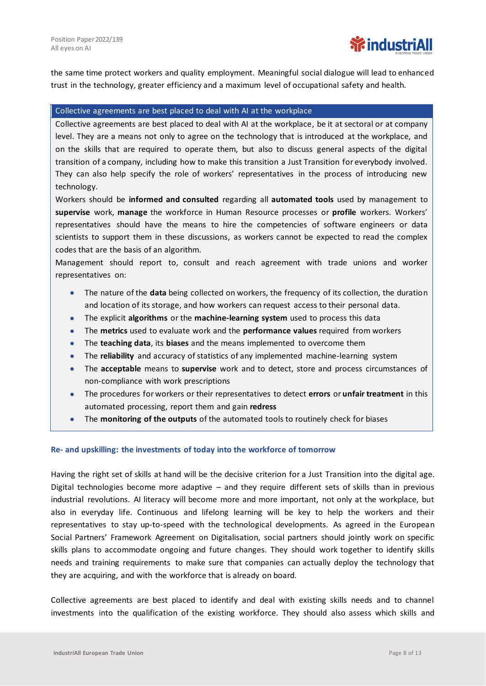the same time protect workers and quality employment. Meaningful social dialogue will lead to enhanced trust in the technology, greater efficiency and a maximum level of occupational safety and health.

#### Collective agreements are best placed to deal with AI at the workplace

Collective agreements are best placed to deal with AI at the workplace, be it at sectoral or at company level. They are a means not only to agree on the technology that is introduced at the workplace, and on the skills that are required to operate them, but also to discuss general aspects of the digital transition of a company, including how to make this transition a Just Transition for everybody involved. They can also help specify the role of workers' representatives in the process of introducing new technology.

Workers should be **informed and consulted** regarding all **automated tools** used by management to **supervise** work, **manage** the workforce in Human Resource processes or **profile** workers. Workers' representatives should have the means to hire the competencies of software engineers or data scientists to support them in these discussions, as workers cannot be expected to read the complex codes that are the basis of an algorithm.

Management should report to, consult and reach agreement with trade unions and worker representatives on:

- The nature of the **data** being collected on workers, the frequency of its collection, the duration and location of its storage, and how workers can request access to their personal data.
- The explicit **algorithms** or the **machine-learning system** used to process this data
- The **metrics** used to evaluate work and the **performance values** required from workers
- The **teaching data**, its **biases** and the means implemented to overcome them
- The **reliability** and accuracy of statistics of any implemented machine-learning system
- The **acceptable** means to **supervise** work and to detect, store and process circumstances of non-compliance with work prescriptions
- The procedures for workers or their representatives to detect **errors** or **unfair treatment** in this automated processing, report them and gain **redress**
- The **monitoring of the outputs** of the automated tools to routinely check for biases

#### **Re- and upskilling: the investments of today into the workforce of tomorrow**

Having the right set of skills at hand will be the decisive criterion for a Just Transition into the digital age. Digital technologies become more adaptive – and they require different sets of skills than in previous industrial revolutions. AI literacy will become more and more important, not only at the workplace, but also in everyday life. Continuous and lifelong learning will be key to help the workers and their representatives to stay up-to-speed with the technological developments. As agreed in the European Social Partners' Framework Agreement on Digitalisation, social partners should jointly work on specific skills plans to accommodate ongoing and future changes. They should work together to identify skills needs and training requirements to make sure that companies can actually deploy the technology that they are acquiring, and with the workforce that is already on board.

Collective agreements are best placed to identify and deal with existing skills needs and to channel investments into the qualification of the existing workforce. They should also assess which skills and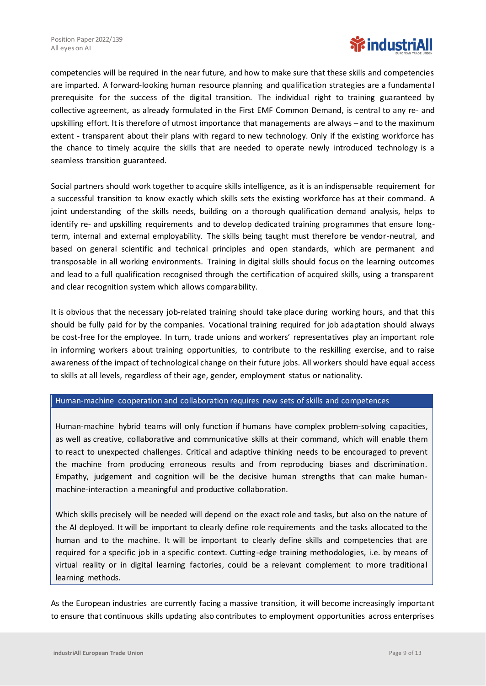

competencies will be required in the near future, and how to make sure that these skills and competencies are imparted. A forward-looking human resource planning and qualification strategies are a fundamental prerequisite for the success of the digital transition. The individual right to training guaranteed by collective agreement, as already formulated in the First EMF Common Demand, is central to any re- and upskilling effort. It is therefore of utmost importance that managements are always – and to the maximum extent - transparent about their plans with regard to new technology. Only if the existing workforce has the chance to timely acquire the skills that are needed to operate newly introduced technology is a seamless transition guaranteed.

Social partners should work together to acquire skills intelligence, as it is an indispensable requirement for a successful transition to know exactly which skills sets the existing workforce has at their command. A joint understanding of the skills needs, building on a thorough qualification demand analysis, helps to identify re- and upskilling requirements and to develop dedicated training programmes that ensure longterm, internal and external employability. The skills being taught must therefore be vendor-neutral, and based on general scientific and technical principles and open standards, which are permanent and transposable in all working environments. Training in digital skills should focus on the learning outcomes and lead to a full qualification recognised through the certification of acquired skills, using a transparent and clear recognition system which allows comparability.

It is obvious that the necessary job-related training should take place during working hours, and that this should be fully paid for by the companies. Vocational training required for job adaptation should always be cost-free for the employee. In turn, trade unions and workers' representatives play an important role in informing workers about training opportunities, to contribute to the reskilling exercise, and to raise awareness ofthe impact of technological change on their future jobs. All workers should have equal access to skills at all levels, regardless of their age, gender, employment status or nationality.

#### Human-machine cooperation and collaboration requires new sets of skills and competences

Human-machine hybrid teams will only function if humans have complex problem-solving capacities, as well as creative, collaborative and communicative skills at their command, which will enable them to react to unexpected challenges. Critical and adaptive thinking needs to be encouraged to prevent the machine from producing erroneous results and from reproducing biases and discrimination. Empathy, judgement and cognition will be the decisive human strengths that can make humanmachine-interaction a meaningful and productive collaboration.

Which skills precisely will be needed will depend on the exact role and tasks, but also on the nature of the AI deployed. It will be important to clearly define role requirements and the tasks allocated to the human and to the machine. It will be important to clearly define skills and competencies that are required for a specific job in a specific context. Cutting-edge training methodologies, i.e. by means of virtual reality or in digital learning factories, could be a relevant complement to more traditional learning methods.

As the European industries are currently facing a massive transition, it will become increasingly important to ensure that continuous skills updating also contributes to employment opportunities across enterprises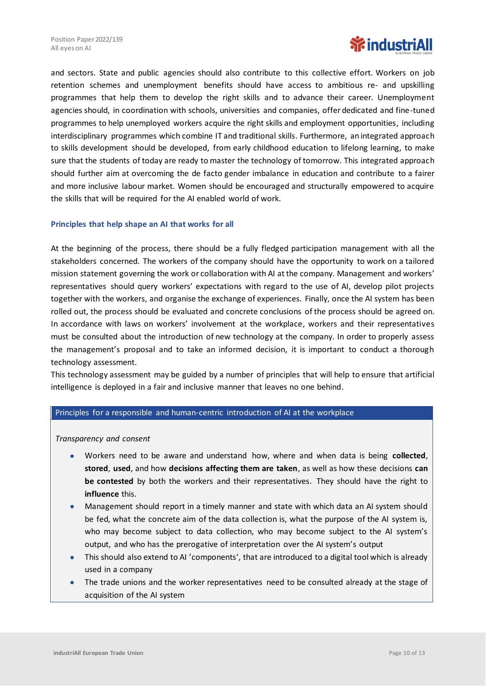

and sectors. State and public agencies should also contribute to this collective effort. Workers on job retention schemes and unemployment benefits should have access to ambitious re- and upskilling programmes that help them to develop the right skills and to advance their career. Unemployment agencies should, in coordination with schools, universities and companies, offer dedicated and fine-tuned programmes to help unemployed workers acquire the right skills and employment opportunities, including interdisciplinary programmes which combine IT and traditional skills. Furthermore, an integrated approach to skills development should be developed, from early childhood education to lifelong learning, to make sure that the students of today are ready to master the technology of tomorrow. This integrated approach should further aim at overcoming the de facto gender imbalance in education and contribute to a fairer and more inclusive labour market. Women should be encouraged and structurally empowered to acquire the skills that will be required for the AI enabled world of work.

# **Principles that help shape an AI that works for all**

At the beginning of the process, there should be a fully fledged participation management with all the stakeholders concerned. The workers of the company should have the opportunity to work on a tailored mission statement governing the work or collaboration with AI at the company. Management and workers' representatives should query workers' expectations with regard to the use of AI, develop pilot projects together with the workers, and organise the exchange of experiences. Finally, once the AI system has been rolled out, the process should be evaluated and concrete conclusions of the process should be agreed on. In accordance with laws on workers' involvement at the workplace, workers and their representatives must be consulted about the introduction of new technology at the company. In order to properly assess the management's proposal and to take an informed decision, it is important to conduct a thorough technology assessment.

This technology assessment may be guided by a number of principles that will help to ensure that artificial intelligence is deployed in a fair and inclusive manner that leaves no one behind.

# Principles for a responsible and human-centric introduction of AI at the workplace

*Transparency and consent*

- Workers need to be aware and understand how, where and when data is being **collected**, **stored**, **used**, and how **decisions affecting them are taken**, as well as how these decisions **can be contested** by both the workers and their representatives. They should have the right to **influence** this.
- Management should report in a timely manner and state with which data an AI system should be fed, what the concrete aim of the data collection is, what the purpose of the AI system is, who may become subject to data collection, who may become subject to the AI system's output, and who has the prerogative of interpretation over the AI system's output
- This should also extend to AI 'components', that are introduced to a digital tool which is already used in a company
- The trade unions and the worker representatives need to be consulted already at the stage of acquisition of the AI system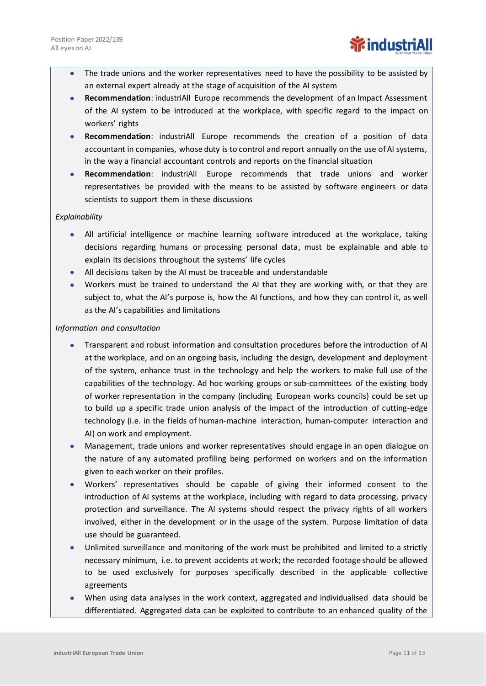- The trade unions and the worker representatives need to have the possibility to be assisted by an external expert already at the stage of acquisition of the AI system
- **Recommendation**: industriAll Europe recommends the development of an Impact Assessment of the AI system to be introduced at the workplace, with specific regard to the impact on workers' rights
- **Recommendation**: industriAll Europe recommends the creation of a position of data accountant in companies, whose duty is to control and report annually on the use of AI systems, in the way a financial accountant controls and reports on the financial situation
- **Recommendation**: industriAll Europe recommends that trade unions and worker representatives be provided with the means to be assisted by software engineers or data scientists to support them in these discussions

# *Explainability*

- All artificial intelligence or machine learning software introduced at the workplace, taking decisions regarding humans or processing personal data, must be explainable and able to explain its decisions throughout the systems' life cycles
- All decisions taken by the AI must be traceable and understandable
- Workers must be trained to understand the AI that they are working with, or that they are subject to, what the AI's purpose is, how the AI functions, and how they can control it, as well as the AI's capabilities and limitations

# *Information and consultation*

- Transparent and robust information and consultation procedures before the introduction of AI at the workplace, and on an ongoing basis, including the design, development and deployment of the system, enhance trust in the technology and help the workers to make full use of the capabilities of the technology. Ad hoc working groups or sub-committees of the existing body of worker representation in the company (including European works councils) could be set up to build up a specific trade union analysis of the impact of the introduction of cutting-edge technology (i.e. in the fields of human-machine interaction, human-computer interaction and AI) on work and employment.
- Management, trade unions and worker representatives should engage in an open dialogue on the nature of any automated profiling being performed on workers and on the information given to each worker on their profiles.
- Workers' representatives should be capable of giving their informed consent to the introduction of AI systems at the workplace, including with regard to data processing, privacy protection and surveillance. The AI systems should respect the privacy rights of all workers involved, either in the development or in the usage of the system. Purpose limitation of data use should be guaranteed.
- Unlimited surveillance and monitoring of the work must be prohibited and limited to a strictly necessary minimum, i.e. to prevent accidents at work; the recorded footage should be allowed to be used exclusively for purposes specifically described in the applicable collective agreements
- When using data analyses in the work context, aggregated and individualised data should be differentiated. Aggregated data can be exploited to contribute to an enhanced quality of the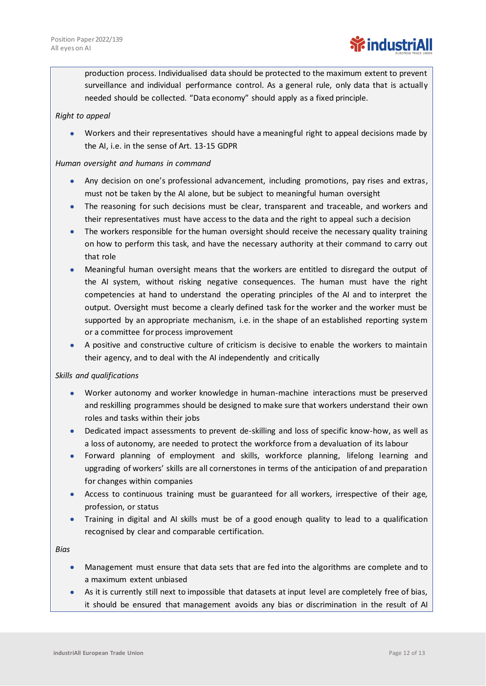production process. Individualised data should be protected to the maximum extent to prevent surveillance and individual performance control. As a general rule, only data that is actually needed should be collected. "Data economy" should apply as a fixed principle.

# *Right to appeal*

• Workers and their representatives should have a meaningful right to appeal decisions made by the AI, i.e. in the sense of Art. 13-15 GDPR

# *Human oversight and humans in command*

- Any decision on one's professional advancement, including promotions, pay rises and extras, must not be taken by the AI alone, but be subject to meaningful human oversight
- The reasoning for such decisions must be clear, transparent and traceable, and workers and their representatives must have access to the data and the right to appeal such a decision
- The workers responsible for the human oversight should receive the necessary quality training on how to perform this task, and have the necessary authority at their command to carry out that role
- Meaningful human oversight means that the workers are entitled to disregard the output of the AI system, without risking negative consequences. The human must have the right competencies at hand to understand the operating principles of the AI and to interpret the output. Oversight must become a clearly defined task for the worker and the worker must be supported by an appropriate mechanism, i.e. in the shape of an established reporting system or a committee for process improvement
- A positive and constructive culture of criticism is decisive to enable the workers to maintain their agency, and to deal with the AI independently and critically

# *Skills and qualifications*

- Worker autonomy and worker knowledge in human-machine interactions must be preserved and reskilling programmes should be designed to make sure that workers understand their own roles and tasks within their jobs
- Dedicated impact assessments to prevent de-skilling and loss of specific know-how, as well as a loss of autonomy, are needed to protect the workforce from a devaluation of its labour
- Forward planning of employment and skills, workforce planning, lifelong learning and upgrading of workers' skills are all cornerstones in terms of the anticipation of and preparation for changes within companies
- Access to continuous training must be guaranteed for all workers, irrespective of their age, profession, or status
- Training in digital and AI skills must be of a good enough quality to lead to a qualification recognised by clear and comparable certification.

*Bias*

- Management must ensure that data sets that are fed into the algorithms are complete and to a maximum extent unbiased
- As it is currently still next to impossible that datasets at input level are completely free of bias, it should be ensured that management avoids any bias or discrimination in the result of AI